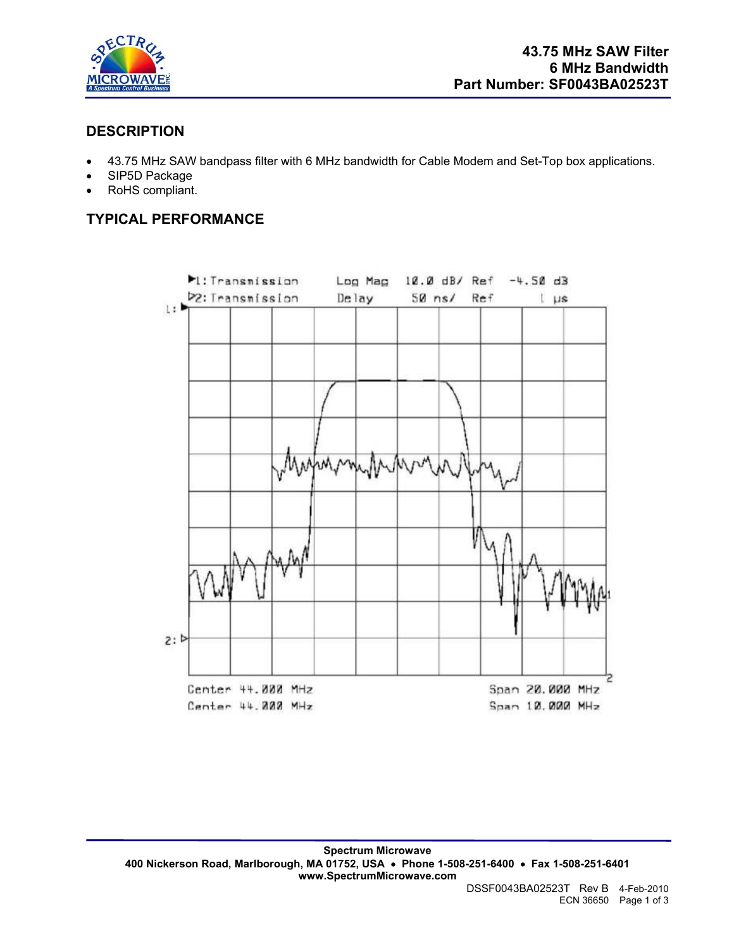

# **DESCRIPTION**

- 43.75 MHz SAW bandpass filter with 6 MHz bandwidth for Cable Modem and Set-Top box applications.
- SIP5D Package
- RoHS compliant.

# **TYPICAL PERFORMANCE**

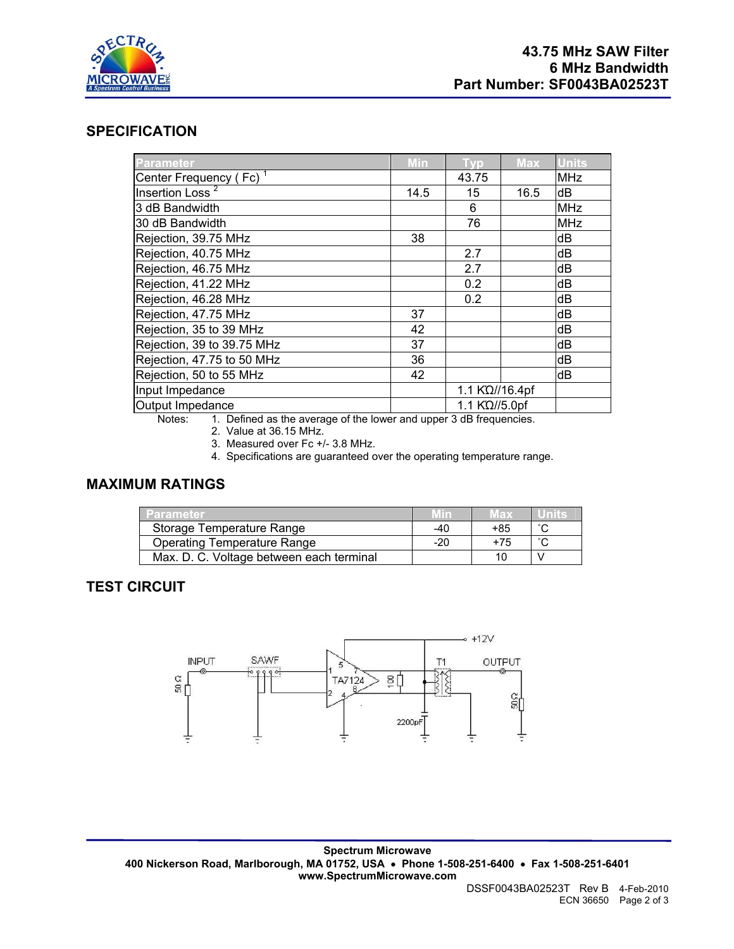

## **SPECIFICATION**

| Parameter                          | <b>Min</b> | <b>Typ</b>     | <b>Max</b> | <b>Units</b> |
|------------------------------------|------------|----------------|------------|--------------|
| Center Frequency (Fc) <sup>1</sup> |            | 43.75          |            | <b>MHz</b>   |
| Insertion Loss <sup>2</sup>        | 14.5       | 15             | 16.5       | dB           |
| 3 dB Bandwidth                     |            | 6              |            | <b>MHz</b>   |
| 30 dB Bandwidth                    |            | 76             |            | <b>MHz</b>   |
| Rejection, 39.75 MHz               | 38         |                |            | dB           |
| Rejection, 40.75 MHz               |            | 2.7            |            | dB           |
| Rejection, 46.75 MHz               |            | 2.7            |            | dB           |
| Rejection, 41.22 MHz               |            | 0.2            |            | dB           |
| Rejection, 46.28 MHz               |            | 0.2            |            | dB           |
| Rejection, 47.75 MHz               | 37         |                |            | dB           |
| Rejection, 35 to 39 MHz            | 42         |                |            | dB           |
| Rejection, 39 to 39.75 MHz         | 37         |                |            | dB           |
| Rejection, 47.75 to 50 MHz         | 36         |                |            | dB           |
| Rejection, 50 to 55 MHz            | 42         |                |            | dB           |
| Input Impedance                    |            | 1.1 KΩ//16.4pf |            |              |
| Output Impedance                   |            | 1.1 K'Ω//5.0pf |            |              |

Notes: 1. Defined as the average of the lower and upper 3 dB frequencies.

2. Value at 36.15 MHz.

3. Measured over Fc +/- 3.8 MHz.

4. Specifications are guaranteed over the operating temperature range.

## **MAXIMUM RATINGS**

| Parameter                                |     | Max |  |
|------------------------------------------|-----|-----|--|
| Storage Temperature Range                | -40 | +85 |  |
| <b>Operating Temperature Range</b>       | -20 | +75 |  |
| Max. D. C. Voltage between each terminal |     |     |  |

## **TEST CIRCUIT**